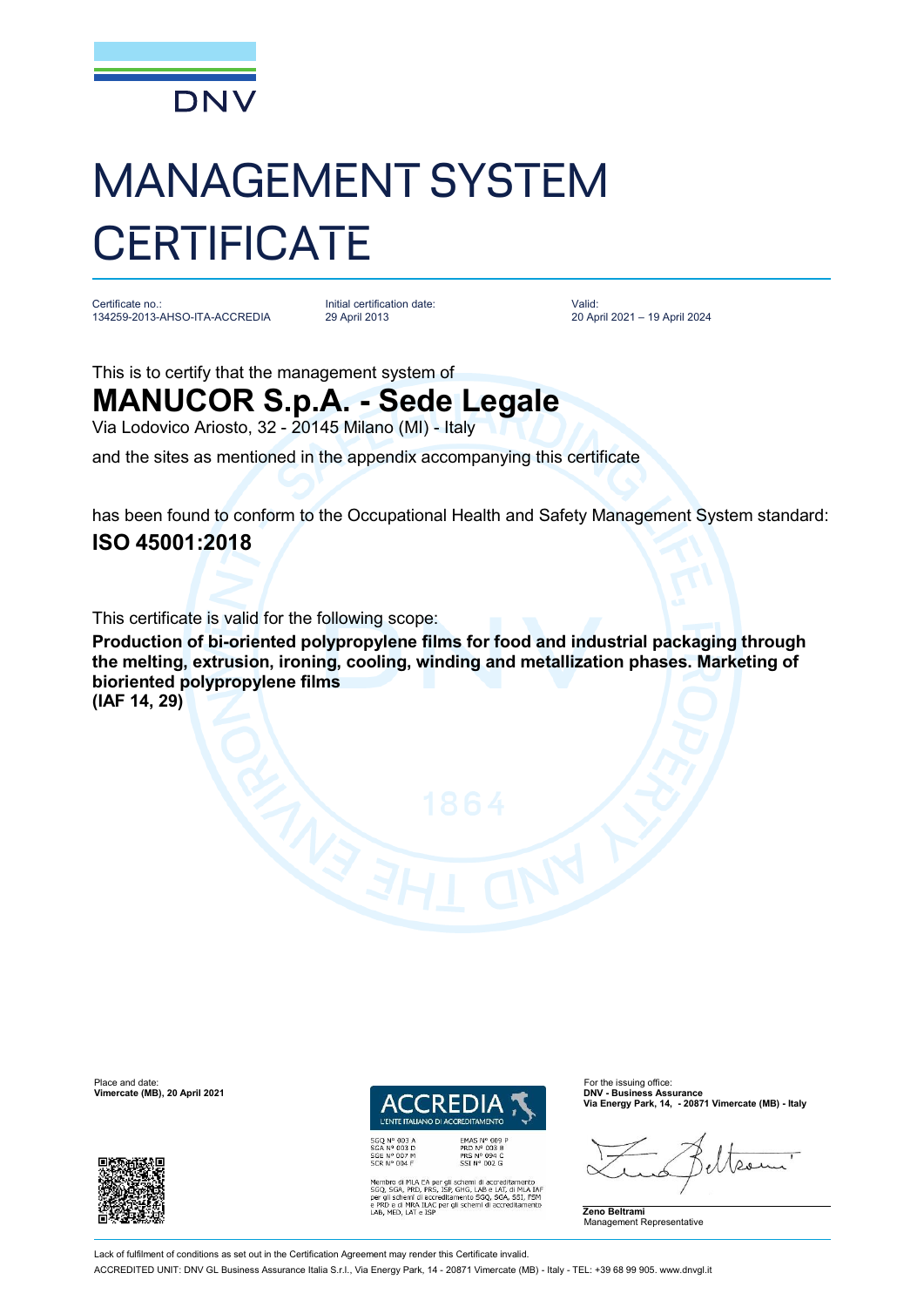

## MANAGEMENT SYSTEM **CERTIFICATE**

Certificate no.: 134259-2013-AHSO-ITA-ACCREDIA

Initial certification date: 29 April 2013

Valid: 20 April 2021 – 19 April 2024

This is to certify that the management system of

## **MANUCOR S.p.A. - Sede Legale**

Via Lodovico Ariosto, 32 - 20145 Milano (MI) - Italy

and the sites as mentioned in the appendix accompanying this certificate

has been found to conform to the Occupational Health and Safety Management System standard: **ISO 45001:2018**

This certificate is valid for the following scope:

**Production of bi-oriented polypropylene films for food and industrial packaging through the melting, extrusion, ironing, cooling, winding and metallization phases. Marketing of bioriented polypropylene films (IAF 14, 29)**

Place and date: For the issuing office:<br> **Place and date:** For the issuing office: For the issuing office: For the issuing office:<br> **Place and Contract Contract Contract Contract Contract Contract Contract Contract Contrac Vimercate (MB), 20 April 2021** 





Membro di MLA EA per gli schemi di accreditamento<br>SGO, SGA, PRD, PRS, ISP, GHG, LAB e LAT, di MLA IAT<br>per gli schemi di accreditamento SGO, SGA, SSI, FSM<br>e PRD e di MRA ILAC per gli schemi di accreditamento<br>LAB, MED, LAT e

**Via Energy Park, 14, - 20871 Vimercate (MB) - Italy**

 $\Omega$ 

**Zeno Beltrami** Management Representative

Lack of fulfilment of conditions as set out in the Certification Agreement may render this Certificate invalid

ACCREDITED UNIT: DNV GL Business Assurance Italia S.r.l., Via Energy Park, 14 - 20871 Vimercate (MB) - Italy - TEL: +39 68 99 905. [www.dnvgl.it](http://www.dnvgl.it)